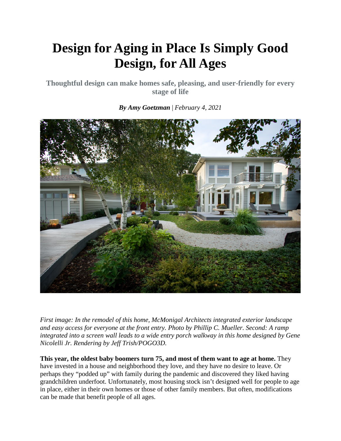## **Design for Aging in Place Is Simply Good Design, for All Ages**

**Thoughtful design can make homes safe, pleasing, and user-friendly for every stage of life**

*By Amy Goetzman* | *February 4, 2021*

*First image: In the remodel of this home, McMonigal Architects integrated exterior landscape and easy access for everyone at the front entry. Photo by Phillip C. Mueller. Second: A ramp integrated into a screen wall leads to a wide entry porch walkway in this home designed by Gene Nicolelli Jr. Rendering by Jeff Trish/POGO3D.*

**This year, the oldest baby boomers turn 75, and most of them want to age at home.** They have invested in a house and neighborhood they love, and they have no desire to leave. Or perhaps they "podded up" with family during the pandemic and discovered they liked having grandchildren underfoot. Unfortunately, most housing stock isn't designed well for people to age in place, either in their own homes or those of other family members. But often, modifications can be made that benefit people of all ages.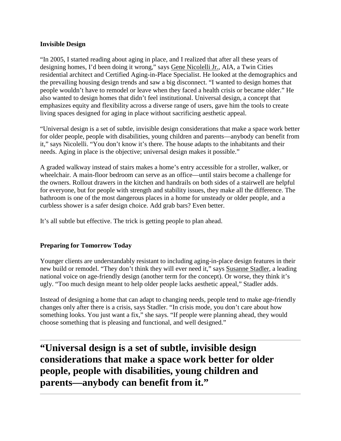## **Invisible Design**

"In 2005, I started reading about aging in place, and I realized that after all these years of designing homes, I'd been doing it wrong," says [Gene Nicolelli Jr.,](https://www.ageinplacehome.com/) AIA, a Twin Cities residential architect and Certified Aging-in-Place Specialist. He looked at the demographics and the prevailing housing design trends and saw a big disconnect. "I wanted to design homes that people wouldn't have to remodel or leave when they faced a health crisis or became older." He also wanted to design homes that didn't feel institutional. Universal design, a concept that emphasizes equity and flexibility across a diverse range of users, gave him the tools to create living spaces designed for aging in place without sacrificing aesthetic appeal.

"Universal design is a set of subtle, invisible design considerations that make a space work better for older people, people with disabilities, young children and parents—anybody can benefit from it," says Nicolelli. "You don't know it's there. The house adapts to the inhabitants and their needs. Aging in place is the objective; universal design makes it possible."

A graded walkway instead of stairs makes a home's entry accessible for a stroller, walker, or wheelchair. A main-floor bedroom can serve as an office—until stairs become a challenge for the owners. Rollout drawers in the kitchen and handrails on both sides of a stairwell are helpful for everyone, but for people with strength and stability issues, they make all the difference. The bathroom is one of the most dangerous places in a home for unsteady or older people, and a curbless shower is a safer design choice. Add grab bars? Even better.

It's all subtle but effective. The trick is getting people to plan ahead.

## **Preparing for Tomorrow Today**

Younger clients are understandably resistant to including aging-in-place design features in their new build or remodel. "They don't think they will ever need it," says [Susanne Stadler,](https://athomewithgrowingold.com/) a leading national voice on age-friendly design (another term for the concept). Or worse, they think it's ugly. "Too much design meant to help older people lacks aesthetic appeal," Stadler adds.

Instead of designing a home that can adapt to changing needs, people tend to make age-friendly changes only after there is a crisis, says Stadler. "In crisis mode, you don't care about how something looks. You just want a fix," she says. "If people were planning ahead, they would choose something that is pleasing and functional, and well designed."

**"Universal design is a set of subtle, invisible design considerations that make a space work better for older people, people with disabilities, young children and parents—anybody can benefit from it."**